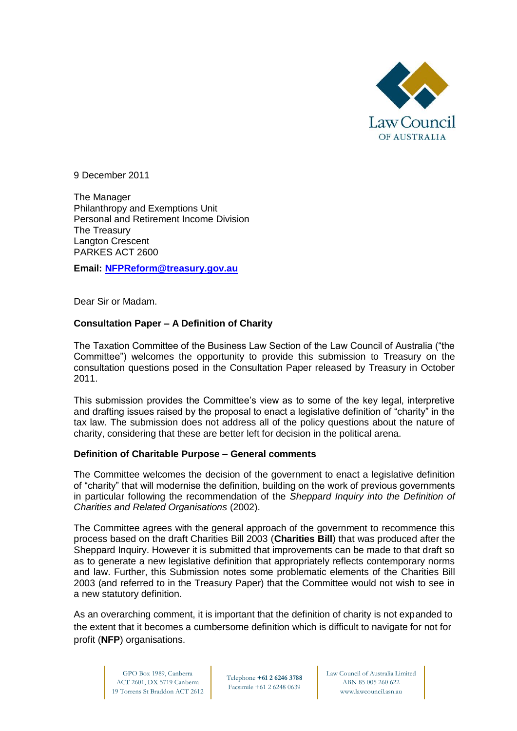

9 December 2011

The Manager Philanthropy and Exemptions Unit Personal and Retirement Income Division The Treasury Langton Crescent PARKES ACT 2600

**Email: [NFPReform@treasury.gov.au](mailto:NFPReform@treasury.gov.au)**

Dear Sir or Madam.

#### **Consultation Paper – A Definition of Charity**

The Taxation Committee of the Business Law Section of the Law Council of Australia ("the Committee") welcomes the opportunity to provide this submission to Treasury on the consultation questions posed in the Consultation Paper released by Treasury in October 2011.

This submission provides the Committee's view as to some of the key legal, interpretive and drafting issues raised by the proposal to enact a legislative definition of "charity" in the tax law. The submission does not address all of the policy questions about the nature of charity, considering that these are better left for decision in the political arena.

#### **Definition of Charitable Purpose – General comments**

The Committee welcomes the decision of the government to enact a legislative definition of "charity" that will modernise the definition, building on the work of previous governments in particular following the recommendation of the *Sheppard Inquiry into the Definition of Charities and Related Organisations* (2002).

The Committee agrees with the general approach of the government to recommence this process based on the draft Charities Bill 2003 (**Charities Bill**) that was produced after the Sheppard Inquiry. However it is submitted that improvements can be made to that draft so as to generate a new legislative definition that appropriately reflects contemporary norms and law. Further, this Submission notes some problematic elements of the Charities Bill 2003 (and referred to in the Treasury Paper) that the Committee would not wish to see in a new statutory definition.

As an overarching comment, it is important that the definition of charity is not expanded to the extent that it becomes a cumbersome definition which is difficult to navigate for not for profit (**NFP**) organisations.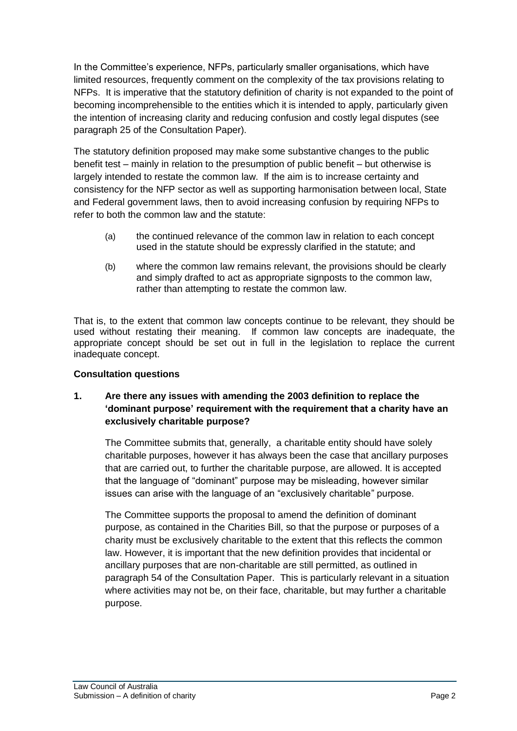In the Committee's experience, NFPs, particularly smaller organisations, which have limited resources, frequently comment on the complexity of the tax provisions relating to NFPs. It is imperative that the statutory definition of charity is not expanded to the point of becoming incomprehensible to the entities which it is intended to apply, particularly given the intention of increasing clarity and reducing confusion and costly legal disputes (see paragraph 25 of the Consultation Paper).

The statutory definition proposed may make some substantive changes to the public benefit test – mainly in relation to the presumption of public benefit – but otherwise is largely intended to restate the common law. If the aim is to increase certainty and consistency for the NFP sector as well as supporting harmonisation between local, State and Federal government laws, then to avoid increasing confusion by requiring NFPs to refer to both the common law and the statute:

- (a) the continued relevance of the common law in relation to each concept used in the statute should be expressly clarified in the statute; and
- (b) where the common law remains relevant, the provisions should be clearly and simply drafted to act as appropriate signposts to the common law, rather than attempting to restate the common law.

That is, to the extent that common law concepts continue to be relevant, they should be used without restating their meaning. If common law concepts are inadequate, the appropriate concept should be set out in full in the legislation to replace the current inadequate concept.

### **Consultation questions**

# **1. Are there any issues with amending the 2003 definition to replace the 'dominant purpose' requirement with the requirement that a charity have an exclusively charitable purpose?**

The Committee submits that, generally, a charitable entity should have solely charitable purposes, however it has always been the case that ancillary purposes that are carried out, to further the charitable purpose, are allowed. It is accepted that the language of "dominant" purpose may be misleading, however similar issues can arise with the language of an "exclusively charitable" purpose.

The Committee supports the proposal to amend the definition of dominant purpose, as contained in the Charities Bill, so that the purpose or purposes of a charity must be exclusively charitable to the extent that this reflects the common law. However, it is important that the new definition provides that incidental or ancillary purposes that are non-charitable are still permitted, as outlined in paragraph 54 of the Consultation Paper. This is particularly relevant in a situation where activities may not be, on their face, charitable, but may further a charitable purpose.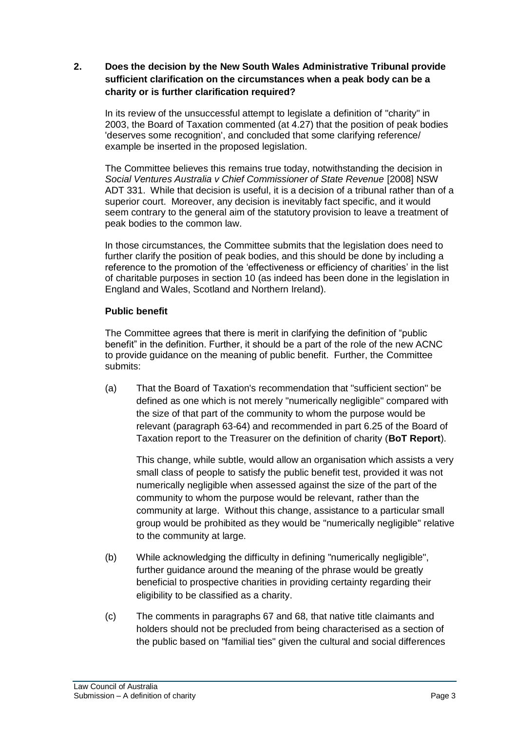### **2. Does the decision by the New South Wales Administrative Tribunal provide sufficient clarification on the circumstances when a peak body can be a charity or is further clarification required?**

In its review of the unsuccessful attempt to legislate a definition of "charity" in 2003, the Board of Taxation commented (at 4.27) that the position of peak bodies 'deserves some recognition', and concluded that some clarifying reference/ example be inserted in the proposed legislation.

The Committee believes this remains true today, notwithstanding the decision in *Social Ventures Australia v Chief Commissioner of State Revenue* [2008] NSW ADT 331. While that decision is useful, it is a decision of a tribunal rather than of a superior court. Moreover, any decision is inevitably fact specific, and it would seem contrary to the general aim of the statutory provision to leave a treatment of peak bodies to the common law.

In those circumstances, the Committee submits that the legislation does need to further clarify the position of peak bodies, and this should be done by including a reference to the promotion of the 'effectiveness or efficiency of charities' in the list of charitable purposes in section 10 (as indeed has been done in the legislation in England and Wales, Scotland and Northern Ireland).

### **Public benefit**

The Committee agrees that there is merit in clarifying the definition of "public benefit" in the definition. Further, it should be a part of the role of the new ACNC to provide guidance on the meaning of public benefit. Further, the Committee submits:

(a) That the Board of Taxation's recommendation that "sufficient section" be defined as one which is not merely "numerically negligible" compared with the size of that part of the community to whom the purpose would be relevant (paragraph 63-64) and recommended in part 6.25 of the Board of Taxation report to the Treasurer on the definition of charity (**BoT Report**).

This change, while subtle, would allow an organisation which assists a very small class of people to satisfy the public benefit test, provided it was not numerically negligible when assessed against the size of the part of the community to whom the purpose would be relevant, rather than the community at large. Without this change, assistance to a particular small group would be prohibited as they would be "numerically negligible" relative to the community at large.

- (b) While acknowledging the difficulty in defining "numerically negligible", further guidance around the meaning of the phrase would be greatly beneficial to prospective charities in providing certainty regarding their eligibility to be classified as a charity.
- (c) The comments in paragraphs 67 and 68, that native title claimants and holders should not be precluded from being characterised as a section of the public based on "familial ties" given the cultural and social differences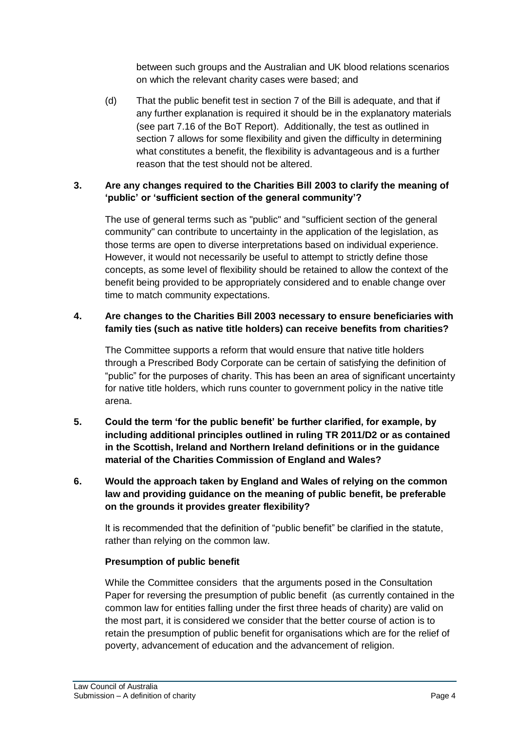between such groups and the Australian and UK blood relations scenarios on which the relevant charity cases were based; and

(d) That the public benefit test in section 7 of the Bill is adequate, and that if any further explanation is required it should be in the explanatory materials (see part 7.16 of the BoT Report). Additionally, the test as outlined in section 7 allows for some flexibility and given the difficulty in determining what constitutes a benefit, the flexibility is advantageous and is a further reason that the test should not be altered.

## **3. Are any changes required to the Charities Bill 2003 to clarify the meaning of 'public' or 'sufficient section of the general community'?**

The use of general terms such as "public" and "sufficient section of the general community" can contribute to uncertainty in the application of the legislation, as those terms are open to diverse interpretations based on individual experience. However, it would not necessarily be useful to attempt to strictly define those concepts, as some level of flexibility should be retained to allow the context of the benefit being provided to be appropriately considered and to enable change over time to match community expectations.

## **4. Are changes to the Charities Bill 2003 necessary to ensure beneficiaries with family ties (such as native title holders) can receive benefits from charities?**

The Committee supports a reform that would ensure that native title holders through a Prescribed Body Corporate can be certain of satisfying the definition of "public" for the purposes of charity. This has been an area of significant uncertainty for native title holders, which runs counter to government policy in the native title arena.

- **5. Could the term 'for the public benefit' be further clarified, for example, by including additional principles outlined in ruling TR 2011/D2 or as contained in the Scottish, Ireland and Northern Ireland definitions or in the guidance material of the Charities Commission of England and Wales?**
- **6. Would the approach taken by England and Wales of relying on the common law and providing guidance on the meaning of public benefit, be preferable on the grounds it provides greater flexibility?**

It is recommended that the definition of "public benefit" be clarified in the statute, rather than relying on the common law.

### **Presumption of public benefit**

While the Committee considers that the arguments posed in the Consultation Paper for reversing the presumption of public benefit (as currently contained in the common law for entities falling under the first three heads of charity) are valid on the most part, it is considered we consider that the better course of action is to retain the presumption of public benefit for organisations which are for the relief of poverty, advancement of education and the advancement of religion.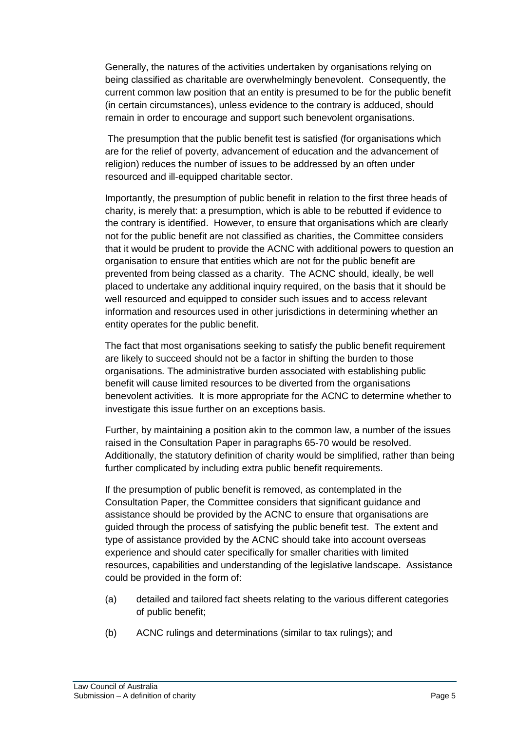Generally, the natures of the activities undertaken by organisations relying on being classified as charitable are overwhelmingly benevolent. Consequently, the current common law position that an entity is presumed to be for the public benefit (in certain circumstances), unless evidence to the contrary is adduced, should remain in order to encourage and support such benevolent organisations.

The presumption that the public benefit test is satisfied (for organisations which are for the relief of poverty, advancement of education and the advancement of religion) reduces the number of issues to be addressed by an often under resourced and ill-equipped charitable sector.

Importantly, the presumption of public benefit in relation to the first three heads of charity, is merely that: a presumption, which is able to be rebutted if evidence to the contrary is identified. However, to ensure that organisations which are clearly not for the public benefit are not classified as charities, the Committee considers that it would be prudent to provide the ACNC with additional powers to question an organisation to ensure that entities which are not for the public benefit are prevented from being classed as a charity. The ACNC should, ideally, be well placed to undertake any additional inquiry required, on the basis that it should be well resourced and equipped to consider such issues and to access relevant information and resources used in other jurisdictions in determining whether an entity operates for the public benefit.

The fact that most organisations seeking to satisfy the public benefit requirement are likely to succeed should not be a factor in shifting the burden to those organisations. The administrative burden associated with establishing public benefit will cause limited resources to be diverted from the organisations benevolent activities. It is more appropriate for the ACNC to determine whether to investigate this issue further on an exceptions basis.

Further, by maintaining a position akin to the common law, a number of the issues raised in the Consultation Paper in paragraphs 65-70 would be resolved. Additionally, the statutory definition of charity would be simplified, rather than being further complicated by including extra public benefit requirements.

If the presumption of public benefit is removed, as contemplated in the Consultation Paper, the Committee considers that significant guidance and assistance should be provided by the ACNC to ensure that organisations are guided through the process of satisfying the public benefit test. The extent and type of assistance provided by the ACNC should take into account overseas experience and should cater specifically for smaller charities with limited resources, capabilities and understanding of the legislative landscape. Assistance could be provided in the form of:

- (a) detailed and tailored fact sheets relating to the various different categories of public benefit;
- (b) ACNC rulings and determinations (similar to tax rulings); and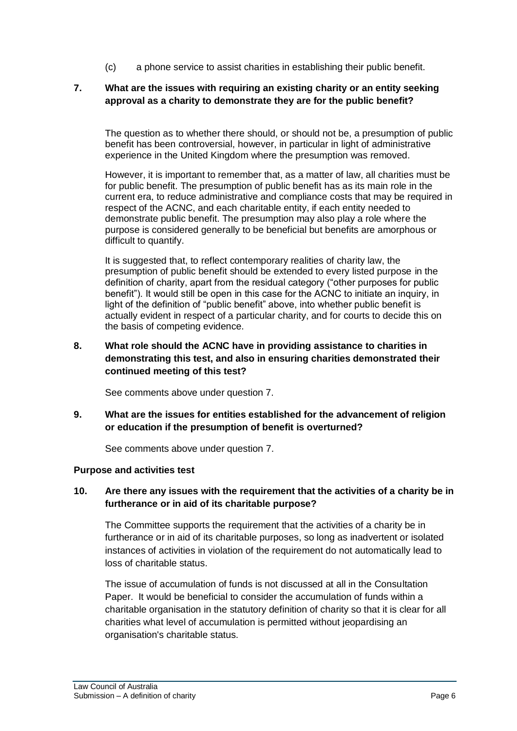(c) a phone service to assist charities in establishing their public benefit.

#### **7. What are the issues with requiring an existing charity or an entity seeking approval as a charity to demonstrate they are for the public benefit?**

The question as to whether there should, or should not be, a presumption of public benefit has been controversial, however, in particular in light of administrative experience in the United Kingdom where the presumption was removed.

However, it is important to remember that, as a matter of law, all charities must be for public benefit. The presumption of public benefit has as its main role in the current era, to reduce administrative and compliance costs that may be required in respect of the ACNC, and each charitable entity, if each entity needed to demonstrate public benefit. The presumption may also play a role where the purpose is considered generally to be beneficial but benefits are amorphous or difficult to quantify.

It is suggested that, to reflect contemporary realities of charity law, the presumption of public benefit should be extended to every listed purpose in the definition of charity, apart from the residual category ("other purposes for public benefit"). It would still be open in this case for the ACNC to initiate an inquiry, in light of the definition of "public benefit" above, into whether public benefit is actually evident in respect of a particular charity, and for courts to decide this on the basis of competing evidence.

### **8. What role should the ACNC have in providing assistance to charities in demonstrating this test, and also in ensuring charities demonstrated their continued meeting of this test?**

See comments above under question 7.

**9. What are the issues for entities established for the advancement of religion or education if the presumption of benefit is overturned?** 

See comments above under question 7.

### **Purpose and activities test**

### **10. Are there any issues with the requirement that the activities of a charity be in furtherance or in aid of its charitable purpose?**

The Committee supports the requirement that the activities of a charity be in furtherance or in aid of its charitable purposes, so long as inadvertent or isolated instances of activities in violation of the requirement do not automatically lead to loss of charitable status.

The issue of accumulation of funds is not discussed at all in the Consultation Paper. It would be beneficial to consider the accumulation of funds within a charitable organisation in the statutory definition of charity so that it is clear for all charities what level of accumulation is permitted without jeopardising an organisation's charitable status.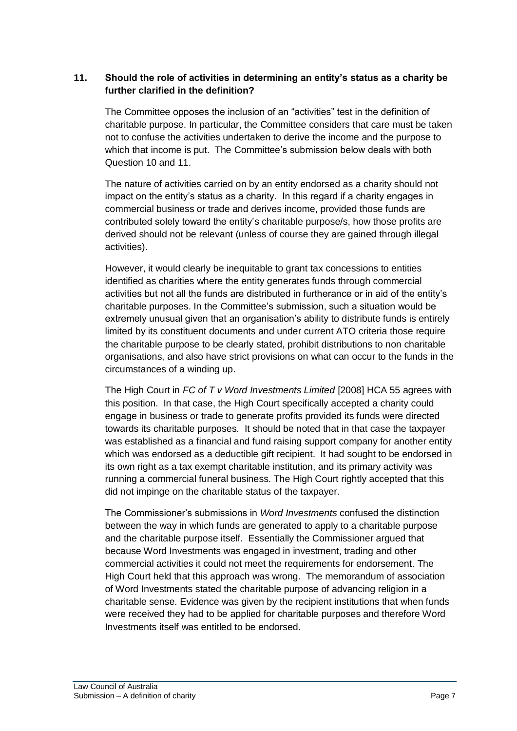### **11. Should the role of activities in determining an entity's status as a charity be further clarified in the definition?**

The Committee opposes the inclusion of an "activities" test in the definition of charitable purpose. In particular, the Committee considers that care must be taken not to confuse the activities undertaken to derive the income and the purpose to which that income is put. The Committee's submission below deals with both Question 10 and 11.

The nature of activities carried on by an entity endorsed as a charity should not impact on the entity"s status as a charity. In this regard if a charity engages in commercial business or trade and derives income, provided those funds are contributed solely toward the entity"s charitable purpose/s, how those profits are derived should not be relevant (unless of course they are gained through illegal activities).

However, it would clearly be inequitable to grant tax concessions to entities identified as charities where the entity generates funds through commercial activities but not all the funds are distributed in furtherance or in aid of the entity"s charitable purposes. In the Committee"s submission, such a situation would be extremely unusual given that an organisation's ability to distribute funds is entirely limited by its constituent documents and under current ATO criteria those require the charitable purpose to be clearly stated, prohibit distributions to non charitable organisations, and also have strict provisions on what can occur to the funds in the circumstances of a winding up.

The High Court in *FC of T v Word Investments Limited* [2008] HCA 55 agrees with this position. In that case, the High Court specifically accepted a charity could engage in business or trade to generate profits provided its funds were directed towards its charitable purposes. It should be noted that in that case the taxpayer was established as a financial and fund raising support company for another entity which was endorsed as a deductible gift recipient. It had sought to be endorsed in its own right as a tax exempt charitable institution, and its primary activity was running a commercial funeral business. The High Court rightly accepted that this did not impinge on the charitable status of the taxpayer.

The Commissioner"s submissions in *Word Investments* confused the distinction between the way in which funds are generated to apply to a charitable purpose and the charitable purpose itself. Essentially the Commissioner argued that because Word Investments was engaged in investment, trading and other commercial activities it could not meet the requirements for endorsement. The High Court held that this approach was wrong. The memorandum of association of Word Investments stated the charitable purpose of advancing religion in a charitable sense. Evidence was given by the recipient institutions that when funds were received they had to be applied for charitable purposes and therefore Word Investments itself was entitled to be endorsed.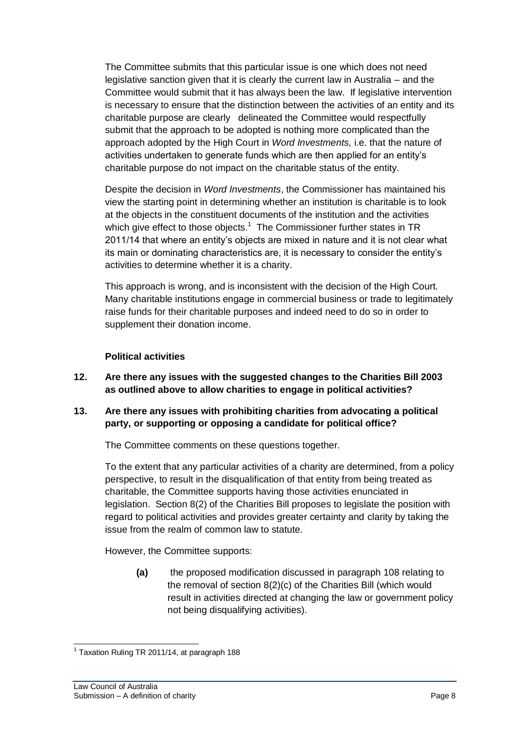The Committee submits that this particular issue is one which does not need legislative sanction given that it is clearly the current law in Australia – and the Committee would submit that it has always been the law. If legislative intervention is necessary to ensure that the distinction between the activities of an entity and its charitable purpose are clearly delineated the Committee would respectfully submit that the approach to be adopted is nothing more complicated than the approach adopted by the High Court in *Word Investments,* i.e. that the nature of activities undertaken to generate funds which are then applied for an entity"s charitable purpose do not impact on the charitable status of the entity.

Despite the decision in *Word Investments*, the Commissioner has maintained his view the starting point in determining whether an institution is charitable is to look at the objects in the constituent documents of the institution and the activities which give effect to those objects.<sup>1</sup> The Commissioner further states in TR 2011/14 that where an entity"s objects are mixed in nature and it is not clear what its main or dominating characteristics are, it is necessary to consider the entity"s activities to determine whether it is a charity.

This approach is wrong, and is inconsistent with the decision of the High Court. Many charitable institutions engage in commercial business or trade to legitimately raise funds for their charitable purposes and indeed need to do so in order to supplement their donation income.

#### **Political activities**

- **12. Are there any issues with the suggested changes to the Charities Bill 2003 as outlined above to allow charities to engage in political activities?**
- **13. Are there any issues with prohibiting charities from advocating a political party, or supporting or opposing a candidate for political office?**

The Committee comments on these questions together.

To the extent that any particular activities of a charity are determined, from a policy perspective, to result in the disqualification of that entity from being treated as charitable, the Committee supports having those activities enunciated in legislation. Section 8(2) of the Charities Bill proposes to legislate the position with regard to political activities and provides greater certainty and clarity by taking the issue from the realm of common law to statute.

However, the Committee supports:

**(a)** the proposed modification discussed in paragraph 108 relating to the removal of section 8(2)(c) of the Charities Bill (which would result in activities directed at changing the law or government policy not being disqualifying activities).

j  $<sup>1</sup>$  Taxation Ruling TR 2011/14, at paragraph 188</sup>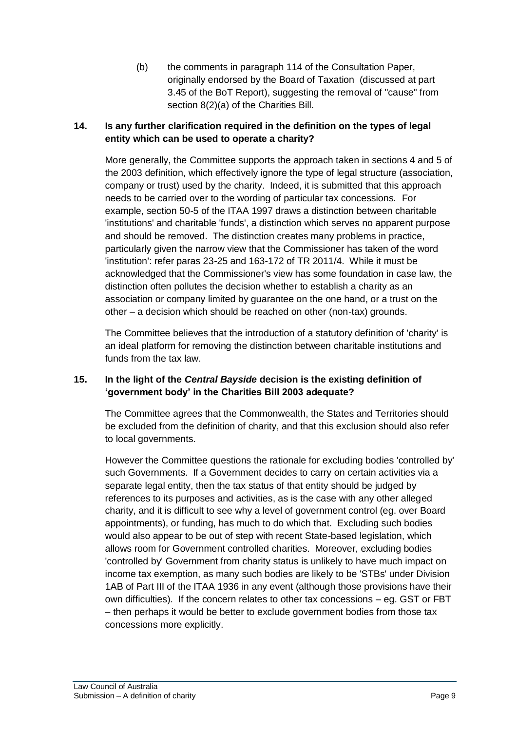(b) the comments in paragraph 114 of the Consultation Paper, originally endorsed by the Board of Taxation (discussed at part 3.45 of the BoT Report), suggesting the removal of "cause" from section 8(2)(a) of the Charities Bill.

## **14. Is any further clarification required in the definition on the types of legal entity which can be used to operate a charity?**

More generally, the Committee supports the approach taken in sections 4 and 5 of the 2003 definition, which effectively ignore the type of legal structure (association, company or trust) used by the charity. Indeed, it is submitted that this approach needs to be carried over to the wording of particular tax concessions. For example, section 50-5 of the ITAA 1997 draws a distinction between charitable 'institutions' and charitable 'funds', a distinction which serves no apparent purpose and should be removed. The distinction creates many problems in practice, particularly given the narrow view that the Commissioner has taken of the word 'institution': refer paras 23-25 and 163-172 of TR 2011/4. While it must be acknowledged that the Commissioner's view has some foundation in case law, the distinction often pollutes the decision whether to establish a charity as an association or company limited by guarantee on the one hand, or a trust on the other – a decision which should be reached on other (non-tax) grounds.

The Committee believes that the introduction of a statutory definition of 'charity' is an ideal platform for removing the distinction between charitable institutions and funds from the tax law.

# **15. In the light of the** *Central Bayside* **decision is the existing definition of 'government body' in the Charities Bill 2003 adequate?**

The Committee agrees that the Commonwealth, the States and Territories should be excluded from the definition of charity, and that this exclusion should also refer to local governments.

However the Committee questions the rationale for excluding bodies 'controlled by' such Governments. If a Government decides to carry on certain activities via a separate legal entity, then the tax status of that entity should be judged by references to its purposes and activities, as is the case with any other alleged charity, and it is difficult to see why a level of government control (eg. over Board appointments), or funding, has much to do which that. Excluding such bodies would also appear to be out of step with recent State-based legislation, which allows room for Government controlled charities. Moreover, excluding bodies 'controlled by' Government from charity status is unlikely to have much impact on income tax exemption, as many such bodies are likely to be 'STBs' under Division 1AB of Part III of the ITAA 1936 in any event (although those provisions have their own difficulties). If the concern relates to other tax concessions – eg. GST or FBT – then perhaps it would be better to exclude government bodies from those tax concessions more explicitly.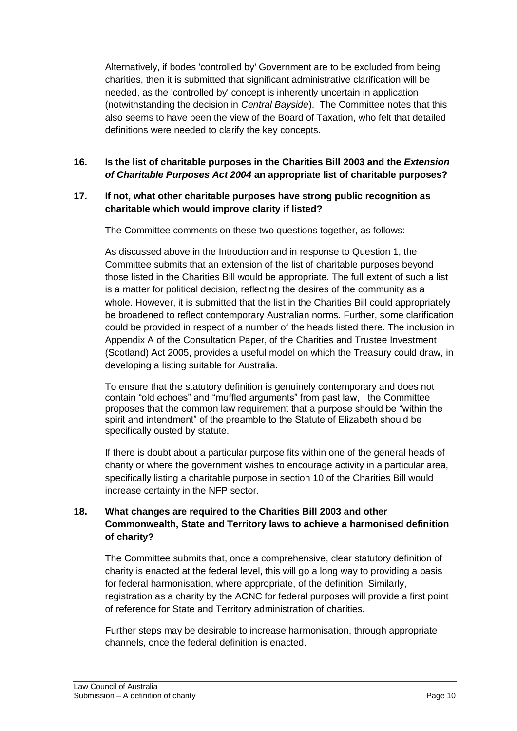Alternatively, if bodes 'controlled by' Government are to be excluded from being charities, then it is submitted that significant administrative clarification will be needed, as the 'controlled by' concept is inherently uncertain in application (notwithstanding the decision in *Central Bayside*). The Committee notes that this also seems to have been the view of the Board of Taxation, who felt that detailed definitions were needed to clarify the key concepts.

# **16. Is the list of charitable purposes in the Charities Bill 2003 and the** *Extension of Charitable Purposes Act 2004* **an appropriate list of charitable purposes?**

### **17. If not, what other charitable purposes have strong public recognition as charitable which would improve clarity if listed?**

The Committee comments on these two questions together, as follows:

As discussed above in the Introduction and in response to Question 1, the Committee submits that an extension of the list of charitable purposes beyond those listed in the Charities Bill would be appropriate. The full extent of such a list is a matter for political decision, reflecting the desires of the community as a whole. However, it is submitted that the list in the Charities Bill could appropriately be broadened to reflect contemporary Australian norms. Further, some clarification could be provided in respect of a number of the heads listed there. The inclusion in Appendix A of the Consultation Paper, of the Charities and Trustee Investment (Scotland) Act 2005, provides a useful model on which the Treasury could draw, in developing a listing suitable for Australia.

To ensure that the statutory definition is genuinely contemporary and does not contain "old echoes" and "muffled arguments" from past law, the Committee proposes that the common law requirement that a purpose should be "within the spirit and intendment" of the preamble to the Statute of Elizabeth should be specifically ousted by statute.

If there is doubt about a particular purpose fits within one of the general heads of charity or where the government wishes to encourage activity in a particular area, specifically listing a charitable purpose in section 10 of the Charities Bill would increase certainty in the NFP sector.

# **18. What changes are required to the Charities Bill 2003 and other Commonwealth, State and Territory laws to achieve a harmonised definition of charity?**

The Committee submits that, once a comprehensive, clear statutory definition of charity is enacted at the federal level, this will go a long way to providing a basis for federal harmonisation, where appropriate, of the definition. Similarly, registration as a charity by the ACNC for federal purposes will provide a first point of reference for State and Territory administration of charities.

Further steps may be desirable to increase harmonisation, through appropriate channels, once the federal definition is enacted.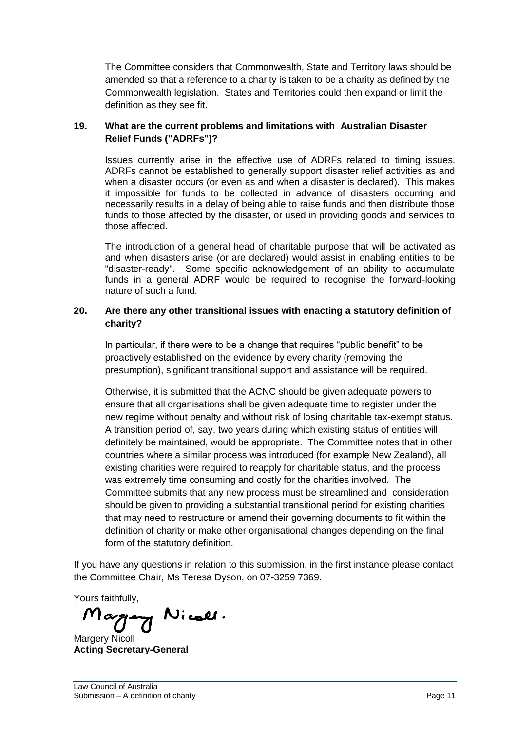The Committee considers that Commonwealth, State and Territory laws should be amended so that a reference to a charity is taken to be a charity as defined by the Commonwealth legislation. States and Territories could then expand or limit the definition as they see fit.

### **19. What are the current problems and limitations with Australian Disaster Relief Funds ("ADRFs")?**

Issues currently arise in the effective use of ADRFs related to timing issues. ADRFs cannot be established to generally support disaster relief activities as and when a disaster occurs (or even as and when a disaster is declared). This makes it impossible for funds to be collected in advance of disasters occurring and necessarily results in a delay of being able to raise funds and then distribute those funds to those affected by the disaster, or used in providing goods and services to those affected.

The introduction of a general head of charitable purpose that will be activated as and when disasters arise (or are declared) would assist in enabling entities to be "disaster-ready". Some specific acknowledgement of an ability to accumulate funds in a general ADRF would be required to recognise the forward-looking nature of such a fund.

### **20. Are there any other transitional issues with enacting a statutory definition of charity?**

In particular, if there were to be a change that requires "public benefit" to be proactively established on the evidence by every charity (removing the presumption), significant transitional support and assistance will be required.

Otherwise, it is submitted that the ACNC should be given adequate powers to ensure that all organisations shall be given adequate time to register under the new regime without penalty and without risk of losing charitable tax-exempt status. A transition period of, say, two years during which existing status of entities will definitely be maintained, would be appropriate. The Committee notes that in other countries where a similar process was introduced (for example New Zealand), all existing charities were required to reapply for charitable status, and the process was extremely time consuming and costly for the charities involved. The Committee submits that any new process must be streamlined and consideration should be given to providing a substantial transitional period for existing charities that may need to restructure or amend their governing documents to fit within the definition of charity or make other organisational changes depending on the final form of the statutory definition.

If you have any questions in relation to this submission, in the first instance please contact the Committee Chair, Ms Teresa Dyson, on 07-3259 7369.

Yours faithfully,<br>Margrany Nicall.

Margery Nicoll **Acting Secretary-General**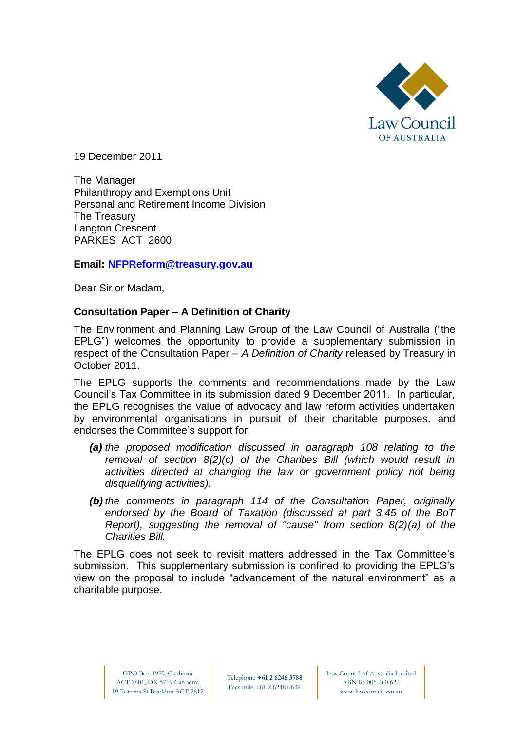

19 December 2011

The Manager Philanthropy and Exemptions Unit Personal and Retirement Income Division The Treasury Langton Crescent PARKES ACT 2600

# **Email: [NFPReform@treasury.gov.au](mailto:NFPReform@treasury.gov.au)**

Dear Sir or Madam,

# **Consultation Paper – A Definition of Charity**

The Environment and Planning Law Group of the Law Council of Australia ("the EPLG") welcomes the opportunity to provide a supplementary submission in respect of the Consultation Paper – *A Definition of Charity* released by Treasury in October 2011.

The EPLG supports the comments and recommendations made by the Law Council"s Tax Committee in its submission dated 9 December 2011. In particular, the EPLG recognises the value of advocacy and law reform activities undertaken by environmental organisations in pursuit of their charitable purposes, and endorses the Committee's support for:

- *(a) the proposed modification discussed in paragraph 108 relating to the removal of section 8(2)(c) of the Charities Bill (which would result in activities directed at changing the law or government policy not being disqualifying activities).*
- *(b) the comments in paragraph 114 of the Consultation Paper, originally endorsed by the Board of Taxation (discussed at part 3.45 of the BoT Report), suggesting the removal of "cause" from section 8(2)(a) of the Charities Bill.*

The EPLG does not seek to revisit matters addressed in the Tax Committee"s submission. This supplementary submission is confined to providing the EPLG"s view on the proposal to include "advancement of the natural environment" as a charitable purpose.